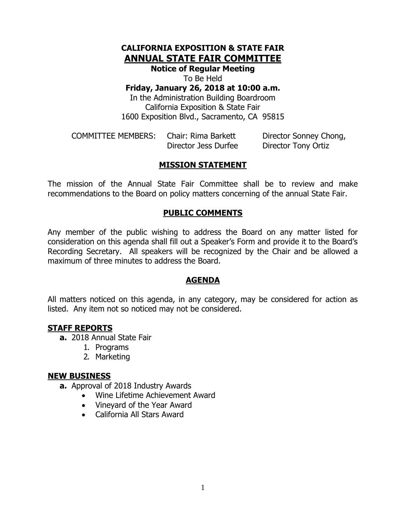# **CALIFORNIA EXPOSITION & STATE FAIR ANNUAL STATE FAIR COMMITTEE**

**Notice of Regular Meeting**

To Be Held

**Friday, January 26, 2018 at 10:00 a.m.**

In the Administration Building Boardroom California Exposition & State Fair 1600 Exposition Blvd., Sacramento, CA 95815

COMMITTEE MEMBERS: Chair: Rima Barkett Director Sonney Chong, Director Jess Durfee Director Tony Ortiz

# **MISSION STATEMENT**

The mission of the Annual State Fair Committee shall be to review and make recommendations to the Board on policy matters concerning of the annual State Fair.

# **PUBLIC COMMENTS**

Any member of the public wishing to address the Board on any matter listed for consideration on this agenda shall fill out a Speaker's Form and provide it to the Board's Recording Secretary. All speakers will be recognized by the Chair and be allowed a maximum of three minutes to address the Board.

# **AGENDA**

All matters noticed on this agenda, in any category, may be considered for action as listed. Any item not so noticed may not be considered.

### **STAFF REPORTS**

**a.** 2018 Annual State Fair

- 1. Programs
- 2. Marketing

### **NEW BUSINESS**

- **a.** Approval of 2018 Industry Awards
	- Wine Lifetime Achievement Award
	- Vineyard of the Year Award
	- California All Stars Award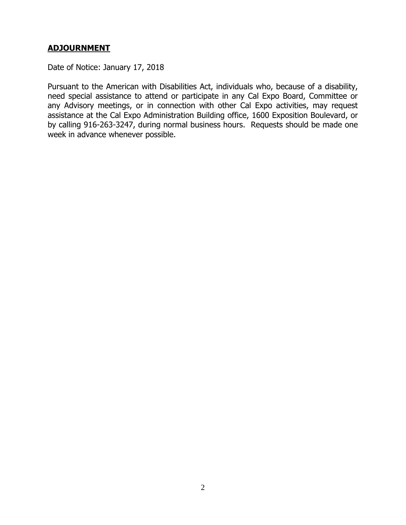# **ADJOURNMENT**

Date of Notice: January 17, 2018

Pursuant to the American with Disabilities Act, individuals who, because of a disability, need special assistance to attend or participate in any Cal Expo Board, Committee or any Advisory meetings, or in connection with other Cal Expo activities, may request assistance at the Cal Expo Administration Building office, 1600 Exposition Boulevard, or by calling 916-263-3247, during normal business hours. Requests should be made one week in advance whenever possible.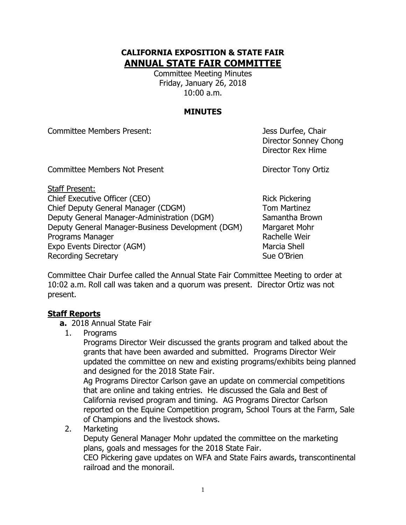# **CALIFORNIA EXPOSITION & STATE FAIR ANNUAL STATE FAIR COMMITTEE**

Committee Meeting Minutes Friday, January 26, 2018 10:00 a.m.

# **MINUTES**

Committee Members Present: Jess Durfee, Chair

Director Sonney Chong Director Rex Hime

Committee Members Not Present **Director Tony Ortiz** 

Staff Present: Chief Executive Officer (CEO) Rick Pickering Chief Deputy General Manager (CDGM) Tom Martinez Deputy General Manager-Administration (DGM) Samantha Brown Deputy General Manager-Business Development (DGM) Margaret Mohr Programs Manager **Rachelle Weir** Rachelle Weir Expo Events Director (AGM) Marcia Shell Recording Secretary **Sue O'Brien** Sue O'Brien

Committee Chair Durfee called the Annual State Fair Committee Meeting to order at 10:02 a.m. Roll call was taken and a quorum was present. Director Ortiz was not present.

# **Staff Reports**

- **a.** 2018 Annual State Fair
	- 1. Programs

Programs Director Weir discussed the grants program and talked about the grants that have been awarded and submitted. Programs Director Weir updated the committee on new and existing programs/exhibits being planned and designed for the 2018 State Fair.

Ag Programs Director Carlson gave an update on commercial competitions that are online and taking entries. He discussed the Gala and Best of California revised program and timing. AG Programs Director Carlson reported on the Equine Competition program, School Tours at the Farm, Sale of Champions and the livestock shows.

2. Marketing

Deputy General Manager Mohr updated the committee on the marketing plans, goals and messages for the 2018 State Fair.

CEO Pickering gave updates on WFA and State Fairs awards, transcontinental railroad and the monorail.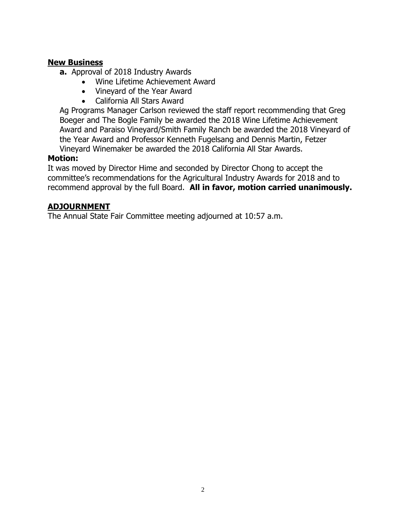### **New Business**

- **a.** Approval of 2018 Industry Awards
	- Wine Lifetime Achievement Award
	- Vineyard of the Year Award
	- California All Stars Award

Ag Programs Manager Carlson reviewed the staff report recommending that Greg Boeger and The Bogle Family be awarded the 2018 Wine Lifetime Achievement Award and Paraiso Vineyard/Smith Family Ranch be awarded the 2018 Vineyard of the Year Award and Professor Kenneth Fugelsang and Dennis Martin, Fetzer Vineyard Winemaker be awarded the 2018 California All Star Awards.

# **Motion:**

It was moved by Director Hime and seconded by Director Chong to accept the committee's recommendations for the Agricultural Industry Awards for 2018 and to recommend approval by the full Board. **All in favor, motion carried unanimously.**

# **ADJOURNMENT**

The Annual State Fair Committee meeting adjourned at 10:57 a.m.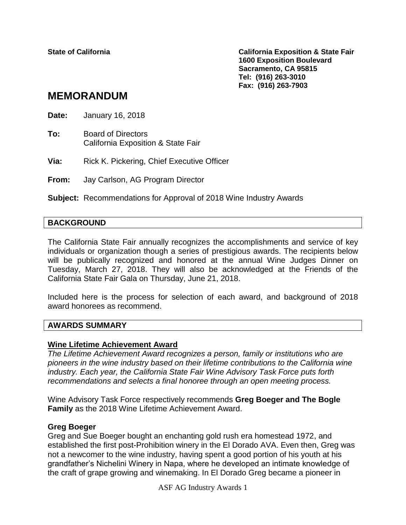**State of California California Exposition & State Fair 1600 Exposition Boulevard Sacramento, CA 95815 Tel: (916) 263-3010 Fax: (916) 263-7903**

# **MEMORANDUM**

**Date:** January 16, 2018

**To:** Board of Directors California Exposition & State Fair

**Via:** Rick K. Pickering, Chief Executive Officer

**From:** Jay Carlson, AG Program Director

**Subject:** Recommendations for Approval of 2018 Wine Industry Awards

### **BACKGROUND**

The California State Fair annually recognizes the accomplishments and service of key individuals or organization though a series of prestigious awards. The recipients below will be publically recognized and honored at the annual Wine Judges Dinner on Tuesday, March 27, 2018. They will also be acknowledged at the Friends of the California State Fair Gala on Thursday, June 21, 2018.

Included here is the process for selection of each award, and background of 2018 award honorees as recommend.

### **AWARDS SUMMARY**

### **Wine Lifetime Achievement Award**

*The Lifetime Achievement Award recognizes a person, family or institutions who are pioneers in the wine industry based on their lifetime contributions to the California wine industry. Each year, the California State Fair Wine Advisory Task Force puts forth recommendations and selects a final honoree through an open meeting process.* 

Wine Advisory Task Force respectively recommends **Greg Boeger and The Bogle Family** as the 2018 Wine Lifetime Achievement Award.

### **Greg Boeger**

Greg and Sue Boeger bought an enchanting gold rush era homestead 1972, and established the first post-Prohibition winery in the El Dorado AVA. Even then, Greg was not a newcomer to the wine industry, having spent a good portion of his youth at his grandfather's Nichelini Winery in Napa, where he developed an intimate knowledge of the craft of grape growing and winemaking. In El Dorado Greg became a pioneer in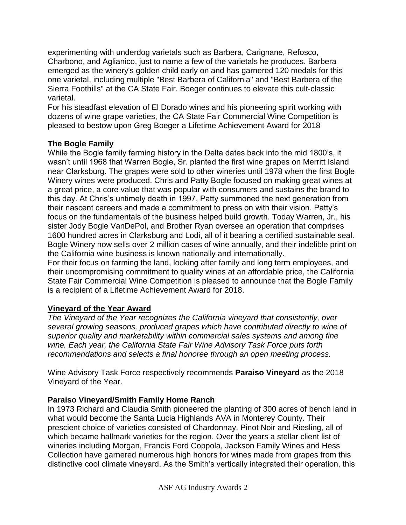experimenting with underdog varietals such as Barbera, Carignane, Refosco, Charbono, and Aglianico, just to name a few of the varietals he produces. Barbera emerged as the winery's golden child early on and has garnered 120 medals for this one varietal, including multiple "Best Barbera of California" and "Best Barbera of the Sierra Foothills" at the CA State Fair. Boeger continues to elevate this cult-classic varietal.

For his steadfast elevation of El Dorado wines and his pioneering spirit working with dozens of wine grape varieties, the CA State Fair Commercial Wine Competition is pleased to bestow upon Greg Boeger a Lifetime Achievement Award for 2018

# **The Bogle Family**

While the Bogle family farming history in the Delta dates back into the mid 1800's, it wasn't until 1968 that Warren Bogle, Sr. planted the first wine grapes on Merritt Island near Clarksburg. The grapes were sold to other wineries until 1978 when the first Bogle Winery wines were produced. Chris and Patty Bogle focused on making great wines at a great price, a core value that was popular with consumers and sustains the brand to this day. At Chris's untimely death in 1997, Patty summoned the next generation from their nascent careers and made a commitment to press on with their vision. Patty's focus on the fundamentals of the business helped build growth. Today Warren, Jr., his sister Jody Bogle VanDePol, and Brother Ryan oversee an operation that comprises 1600 hundred acres in Clarksburg and Lodi, all of it bearing a certified sustainable seal. Bogle Winery now sells over 2 million cases of wine annually, and their indelible print on the California wine business is known nationally and internationally.

For their focus on farming the land, looking after family and long term employees, and their uncompromising commitment to quality wines at an affordable price, the California State Fair Commercial Wine Competition is pleased to announce that the Bogle Family is a recipient of a Lifetime Achievement Award for 2018.

# **Vineyard of the Year Award**

*The Vineyard of the Year recognizes the California vineyard that consistently, over several growing seasons, produced grapes which have contributed directly to wine of superior quality and marketability within commercial sales systems and among fine wine. Each year, the California State Fair Wine Advisory Task Force puts forth recommendations and selects a final honoree through an open meeting process.*

Wine Advisory Task Force respectively recommends **Paraiso Vineyard** as the 2018 Vineyard of the Year.

# **Paraiso Vineyard/Smith Family Home Ranch**

In 1973 Richard and Claudia Smith pioneered the planting of 300 acres of bench land in what would become the Santa Lucia Highlands AVA in Monterey County. Their prescient choice of varieties consisted of Chardonnay, Pinot Noir and Riesling, all of which became hallmark varieties for the region. Over the years a stellar client list of wineries including Morgan, Francis Ford Coppola, Jackson Family Wines and Hess Collection have garnered numerous high honors for wines made from grapes from this distinctive cool climate vineyard. As the Smith's vertically integrated their operation, this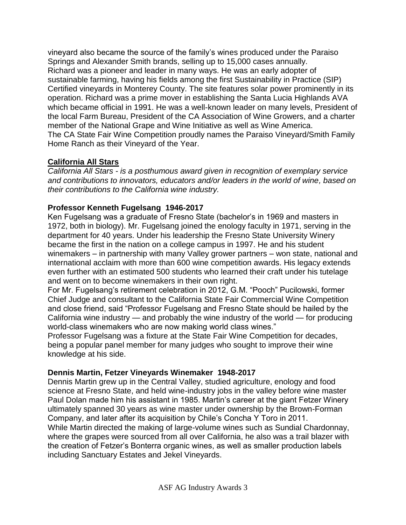vineyard also became the source of the family's wines produced under the Paraiso Springs and Alexander Smith brands, selling up to 15,000 cases annually. Richard was a pioneer and leader in many ways. He was an early adopter of sustainable farming, having his fields among the first Sustainability in Practice (SIP) Certified vineyards in Monterey County. The site features solar power prominently in its operation. Richard was a prime mover in establishing the Santa Lucia Highlands AVA which became official in 1991. He was a well-known leader on many levels, President of the local Farm Bureau, President of the CA Association of Wine Growers, and a charter member of the National Grape and Wine Initiative as well as Wine America. The CA State Fair Wine Competition proudly names the Paraiso Vineyard/Smith Family Home Ranch as their Vineyard of the Year.

# **California All Stars**

*California All Stars - is a posthumous award given in recognition of exemplary service and contributions to innovators, educators and/or leaders in the world of wine, based on their contributions to the California wine industry.*

# **Professor Kenneth Fugelsang 1946-2017**

Ken Fugelsang was a graduate of Fresno State (bachelor's in 1969 and masters in 1972, both in biology). Mr. Fugelsang joined the enology faculty in 1971, serving in the department for 40 years. Under his leadership the Fresno State University Winery became the first in the nation on a college campus in 1997. He and his student winemakers – in partnership with many Valley grower partners – won state, national and international acclaim with more than 600 wine competition awards. His legacy extends even further with an estimated 500 students who learned their craft under his tutelage and went on to become winemakers in their own right.

For Mr. Fugelsang's retirement celebration in 2012, G.M. "Pooch" Pucilowski, former Chief Judge and consultant to the California State Fair Commercial Wine Competition and close friend, said "Professor Fugelsang and Fresno State should be hailed by the California wine industry — and probably the wine industry of the world — for producing world-class winemakers who are now making world class wines."

Professor Fugelsang was a fixture at the State Fair Wine Competition for decades, being a popular panel member for many judges who sought to improve their wine knowledge at his side.

# **Dennis Martin, Fetzer Vineyards Winemaker 1948-2017**

Dennis Martin grew up in the Central Valley, studied agriculture, enology and food science at Fresno State, and held wine-industry jobs in the valley before wine master Paul Dolan made him his assistant in 1985. Martin's career at the giant Fetzer Winery ultimately spanned 30 years as wine master under ownership by the Brown-Forman Company, and later after its acquisition by Chile's Concha Y Toro in 2011. While Martin directed the making of large-volume wines such as Sundial Chardonnay,

where the grapes were sourced from all over California, he also was a trail blazer with the creation of Fetzer's Bonterra organic wines, as well as smaller production labels including Sanctuary Estates and Jekel Vineyards.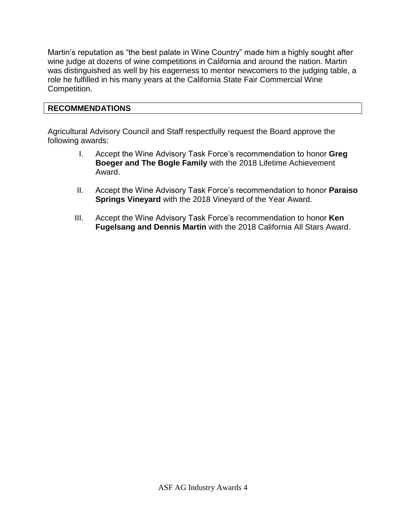Martin's reputation as "the best palate in Wine Country" made him a highly sought after wine judge at dozens of wine competitions in California and around the nation. Martin was distinguished as well by his eagerness to mentor newcomers to the judging table, a role he fulfilled in his many years at the California State Fair Commercial Wine Competition.

# **RECOMMENDATIONS**

Agricultural Advisory Council and Staff respectfully request the Board approve the following awards:

- I. Accept the Wine Advisory Task Force's recommendation to honor **Greg Boeger and The Bogle Family** with the 2018 Lifetime Achievement Award.
- II. Accept the Wine Advisory Task Force's recommendation to honor **Paraiso Springs Vineyard** with the 2018 Vineyard of the Year Award.
- III. Accept the Wine Advisory Task Force's recommendation to honor **Ken Fugelsang and Dennis Martin** with the 2018 California All Stars Award.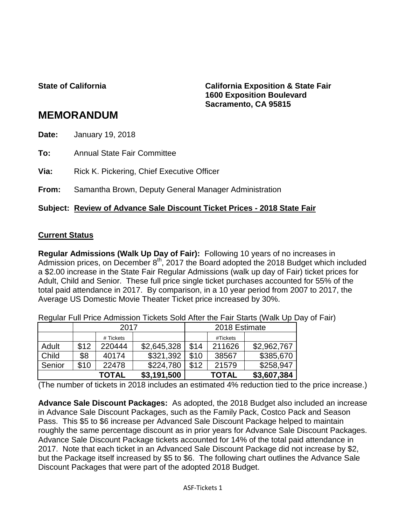**State of California California Exposition & State Fair 1600 Exposition Boulevard Sacramento, CA 95815**

# **MEMORANDUM**

**Date:** January 19, 2018

**To:** Annual State Fair Committee

**Via:** Rick K. Pickering, Chief Executive Officer

**From:** Samantha Brown, Deputy General Manager Administration

### **Subject: Review of Advance Sale Discount Ticket Prices - 2018 State Fair**

### **Current Status**

**Regular Admissions (Walk Up Day of Fair):** Following 10 years of no increases in Admission prices, on December  $8<sup>th</sup>$ , 2017 the Board adopted the 2018 Budget which included a \$2.00 increase in the State Fair Regular Admissions (walk up day of Fair) ticket prices for Adult, Child and Senior. These full price single ticket purchases accounted for 55% of the total paid attendance in 2017. By comparison, in a 10 year period from 2007 to 2017, the Average US Domestic Movie Theater Ticket price increased by 30%.

Regular Full Price Admission Tickets Sold After the Fair Starts (Walk Up Day of Fair)

|        |      | 2017         |             | 2018 Estimate |              |             |  |
|--------|------|--------------|-------------|---------------|--------------|-------------|--|
|        |      | # Tickets    |             |               | #Tickets     |             |  |
| Adult  | \$12 | 220444       | \$2,645,328 | \$14          | 211626       | \$2,962,767 |  |
| Child  | \$8  | 40174        | \$321,392   | \$10          | 38567        | \$385,670   |  |
| Senior | \$10 | 22478        | \$224,780   | \$12          | 21579        | \$258,947   |  |
|        |      | <b>TOTAL</b> | \$3,191,500 |               | <b>TOTAL</b> | \$3,607,384 |  |

(The number of tickets in 2018 includes an estimated 4% reduction tied to the price increase.)

**Advance Sale Discount Packages:** As adopted, the 2018 Budget also included an increase in Advance Sale Discount Packages, such as the Family Pack, Costco Pack and Season Pass. This \$5 to \$6 increase per Advanced Sale Discount Package helped to maintain roughly the same percentage discount as in prior years for Advance Sale Discount Packages. Advance Sale Discount Package tickets accounted for 14% of the total paid attendance in 2017. Note that each ticket in an Advanced Sale Discount Package did not increase by \$2, but the Package itself increased by \$5 to \$6. The following chart outlines the Advance Sale Discount Packages that were part of the adopted 2018 Budget.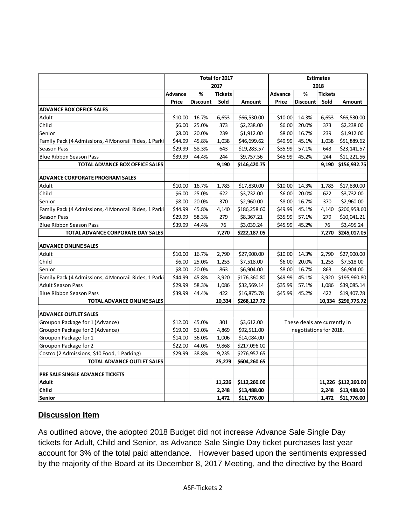|                                                      | Total for 2017 |                 |                | <b>Estimates</b> |                        |                              |                |                     |
|------------------------------------------------------|----------------|-----------------|----------------|------------------|------------------------|------------------------------|----------------|---------------------|
|                                                      | 2017           |                 |                | 2018             |                        |                              |                |                     |
|                                                      | Advance        | %               | <b>Tickets</b> |                  | Advance                | %                            | <b>Tickets</b> |                     |
|                                                      | Price          | <b>Discount</b> | Sold           | Amount           | Price                  | <b>Discount</b>              | Sold           | Amount              |
| <b>ADVANCE BOX OFFICE SALES</b>                      |                |                 |                |                  |                        |                              |                |                     |
| Adult                                                | \$10.00        | 16.7%           | 6,653          | \$66,530.00      | \$10.00                | 14.3%                        | 6,653          | \$66,530.00         |
| Child                                                | \$6.00         | 25.0%           | 373            | \$2,238.00       | \$6.00                 | 20.0%                        | 373            | \$2,238.00          |
| Senior                                               | \$8.00         | 20.0%           | 239            | \$1,912.00       | \$8.00                 | 16.7%                        | 239            | \$1,912.00          |
| Family Pack (4 Admissions, 4 Monorail Rides, 1 Parki | \$44.99        | 45.8%           | 1,038          | \$46,699.62      | \$49.99                | 45.1%                        | 1,038          | \$51,889.62         |
| Season Pass                                          | \$29.99        | 58.3%           | 643            | \$19,283.57      | \$35.99                | 57.1%                        | 643            | \$23,141.57         |
| <b>Blue Ribbon Season Pass</b>                       | \$39.99        | 44.4%           | 244            | \$9,757.56       | \$45.99                | 45.2%                        | 244            | \$11,221.56         |
| TOTAL ADVANCE BOX OFFICE SALES                       |                |                 | 9,190          | \$146,420.75     |                        |                              | 9,190          | \$156,932.75        |
| <b>ADVANCE CORPORATE PROGRAM SALES</b>               |                |                 |                |                  |                        |                              |                |                     |
| Adult                                                | \$10.00        | 16.7%           | 1,783          | \$17,830.00      | \$10.00                | 14.3%                        | 1,783          | \$17,830.00         |
| Child                                                | \$6.00         | 25.0%           | 622            | \$3,732.00       | \$6.00                 | 20.0%                        | 622            | \$3,732.00          |
| Senior                                               | \$8.00         | 20.0%           | 370            | \$2,960.00       | \$8.00                 | 16.7%                        | 370            | \$2,960.00          |
| Family Pack (4 Admissions, 4 Monorail Rides, 1 Parki | \$44.99        | 45.8%           | 4,140          | \$186,258.60     | \$49.99                | 45.1%                        | 4,140          | \$206,958.60        |
| <b>Season Pass</b>                                   | \$29.99        | 58.3%           | 279            | \$8,367.21       | \$35.99                | 57.1%                        | 279            | \$10,041.21         |
| <b>Blue Ribbon Season Pass</b>                       | \$39.99        | 44.4%           | 76             | \$3,039.24       | \$45.99                | 45.2%                        | 76             | \$3,495.24          |
| TOTAL ADVANCE CORPORATE DAY SALES                    |                |                 | 7,270          | \$222,187.05     |                        |                              | 7,270          | \$245,017.05        |
| <b>ADVANCE ONLINE SALES</b>                          |                |                 |                |                  |                        |                              |                |                     |
| Adult                                                | \$10.00        | 16.7%           | 2,790          | \$27,900.00      | \$10.00                | 14.3%                        | 2,790          | \$27,900.00         |
| Child                                                | \$6.00         | 25.0%           | 1,253          | \$7,518.00       | \$6.00                 | 20.0%                        | 1,253          | \$7,518.00          |
| Senior                                               | \$8.00         | 20.0%           | 863            | \$6,904.00       | \$8.00                 | 16.7%                        | 863            | \$6,904.00          |
| Family Pack (4 Admissions, 4 Monorail Rides, 1 Parki | \$44.99        | 45.8%           | 3,920          | \$176,360.80     | \$49.99                | 45.1%                        | 3,920          | \$195,960.80        |
| <b>Adult Season Pass</b>                             | \$29.99        | 58.3%           | 1,086          | \$32,569.14      | \$35.99                | 57.1%                        | 1,086          | \$39,085.14         |
| <b>Blue Ribbon Season Pass</b>                       | \$39.99        | 44.4%           | 422            | \$16,875.78      | \$45.99                | 45.2%                        | 422            | \$19,407.78         |
| <b>TOTAL ADVANCE ONLINE SALES</b>                    |                |                 | 10,334         | \$268,127.72     |                        |                              |                | 10,334 \$296,775.72 |
| <b>ADVANCE OUTLET SALES</b>                          |                |                 |                |                  |                        |                              |                |                     |
| Groupon Package for 1 (Advance)                      | \$12.00        | 45.0%           | 301            | \$3,612.00       |                        | These deals are currently in |                |                     |
| Groupon Package for 2 (Advance)                      | \$19.00        | 51.0%           | 4,869          | \$92,511.00      | negotiations for 2018. |                              |                |                     |
| Groupon Package for 1                                | \$14.00        | 36.0%           | 1,006          | \$14,084.00      |                        |                              |                |                     |
| Groupon Package for 2                                | \$22.00        | 44.0%           | 9,868          | \$217,096.00     |                        |                              |                |                     |
| Costco (2 Admissions, \$10 Food, 1 Parking)          | \$29.99        | 38.8%           | 9,235          | \$276,957.65     |                        |                              |                |                     |
| <b>TOTAL ADVANCE OUTLET SALES</b>                    |                |                 | 25,279         | \$604,260.65     |                        |                              |                |                     |
| PRE SALE SINGLE ADVANCE TICKETS                      |                |                 |                |                  |                        |                              |                |                     |
| <b>Adult</b>                                         |                |                 | 11,226         | \$112,260.00     |                        |                              |                | 11,226 \$112,260.00 |
| <b>Child</b>                                         |                |                 | 2,248          | \$13,488.00      |                        |                              | 2,248          | \$13,488.00         |
| <b>Senior</b>                                        |                |                 | 1,472          | \$11,776.00      |                        |                              | 1,472          | \$11,776.00         |

# **Discussion Item**

As outlined above, the adopted 2018 Budget did not increase Advance Sale Single Day tickets for Adult, Child and Senior, as Advance Sale Single Day ticket purchases last year account for 3% of the total paid attendance. However based upon the sentiments expressed by the majority of the Board at its December 8, 2017 Meeting, and the directive by the Board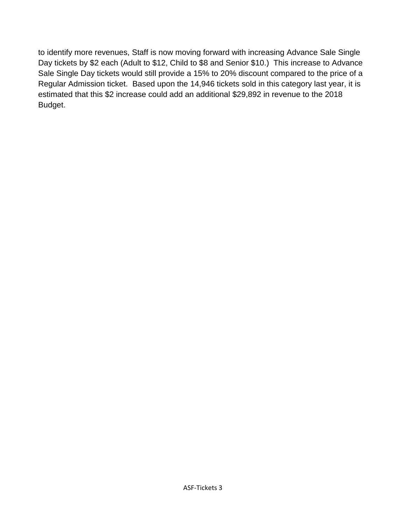to identify more revenues, Staff is now moving forward with increasing Advance Sale Single Day tickets by \$2 each (Adult to \$12, Child to \$8 and Senior \$10.) This increase to Advance Sale Single Day tickets would still provide a 15% to 20% discount compared to the price of a Regular Admission ticket. Based upon the 14,946 tickets sold in this category last year, it is estimated that this \$2 increase could add an additional \$29,892 in revenue to the 2018 Budget.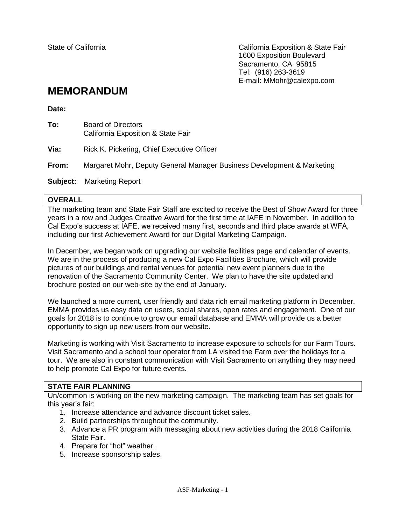State of California California Exposition & State Fair 1600 Exposition Boulevard Sacramento, CA 95815 Tel: (916) 263-3619 E-mail: MMohr@calexpo.com

# **MEMORANDUM**

**Date:**

| To:      | <b>Board of Directors</b><br>California Exposition & State Fair        |  |  |  |
|----------|------------------------------------------------------------------------|--|--|--|
| Via:     | Rick K. Pickering, Chief Executive Officer                             |  |  |  |
| From:    | Margaret Mohr, Deputy General Manager Business Development & Marketing |  |  |  |
| Subject: | <b>Marketing Report</b>                                                |  |  |  |

#### **OVERALL**

The marketing team and State Fair Staff are excited to receive the Best of Show Award for three years in a row and Judges Creative Award for the first time at IAFE in November. In addition to Cal Expo's success at IAFE, we received many first, seconds and third place awards at WFA, including our first Achievement Award for our Digital Marketing Campaign.

In December, we began work on upgrading our website facilities page and calendar of events. We are in the process of producing a new Cal Expo Facilities Brochure, which will provide pictures of our buildings and rental venues for potential new event planners due to the renovation of the Sacramento Community Center. We plan to have the site updated and brochure posted on our web-site by the end of January.

We launched a more current, user friendly and data rich email marketing platform in December. EMMA provides us easy data on users, social shares, open rates and engagement. One of our goals for 2018 is to continue to grow our email database and EMMA will provide us a better opportunity to sign up new users from our website.

Marketing is working with Visit Sacramento to increase exposure to schools for our Farm Tours. Visit Sacramento and a school tour operator from LA visited the Farm over the holidays for a tour. We are also in constant communication with Visit Sacramento on anything they may need to help promote Cal Expo for future events.

#### **STATE FAIR PLANNING**

Un/common is working on the new marketing campaign. The marketing team has set goals for this year's fair:

- 1. Increase attendance and advance discount ticket sales.
- 2. Build partnerships throughout the community.
- 3. Advance a PR program with messaging about new activities during the 2018 California State Fair.
- 4. Prepare for "hot" weather.
- 5. Increase sponsorship sales.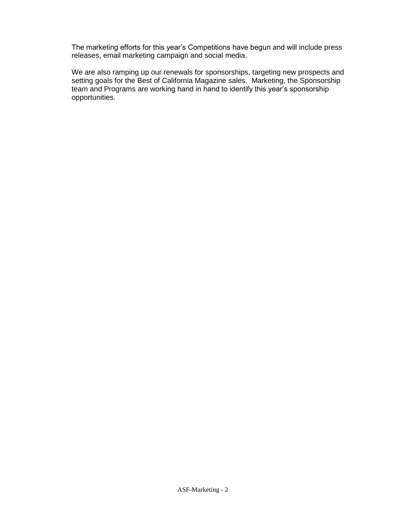The marketing efforts for this year's Competitions have begun and will include press releases, email marketing campaign and social media.

We are also ramping up our renewals for sponsorships, targeting new prospects and setting goals for the Best of California Magazine sales. Marketing, the Sponsorship team and Programs are working hand in hand to identify this year's sponsorship opportunities.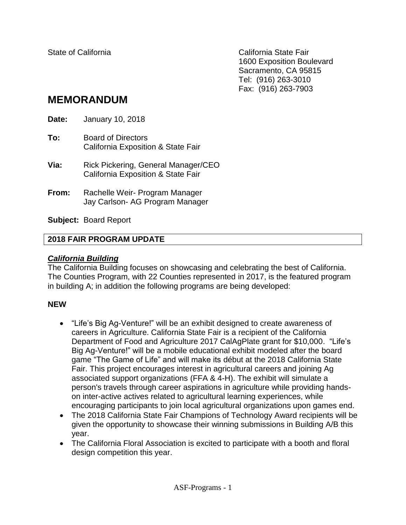State of California California State Fair 1600 Exposition Boulevard Sacramento, CA 95815 Tel: (916) 263-3010 Fax: (916) 263-7903

# **MEMORANDUM**

**Date:** January 10, 2018 **To:** Board of Directors California Exposition & State Fair **Via:** Rick Pickering, General Manager/CEO California Exposition & State Fair **From:** Rachelle Weir- Program Manager Jay Carlson- AG Program Manager

**Subject:** Board Report

# **2018 FAIR PROGRAM UPDATE**

# *California Building*

The California Building focuses on showcasing and celebrating the best of California. The Counties Program, with 22 Counties represented in 2017, is the featured program in building A; in addition the following programs are being developed:

# **NEW**

- "Life's Big Ag-Venture!" will be an exhibit designed to create awareness of careers in Agriculture. California State Fair is a recipient of the California Department of Food and Agriculture 2017 CalAgPlate grant for \$10,000. "Life's Big Ag-Venture!" will be a mobile educational exhibit modeled after the board game "The Game of Life" and will make its début at the 2018 California State Fair. This project encourages interest in agricultural careers and joining Ag associated support organizations (FFA & 4-H). The exhibit will simulate a person's travels through career aspirations in agriculture while providing handson inter-active actives related to agricultural learning experiences, while encouraging participants to join local agricultural organizations upon games end.
- The 2018 California State Fair Champions of Technology Award recipients will be given the opportunity to showcase their winning submissions in Building A/B this year.
- The California Floral Association is excited to participate with a booth and floral design competition this year.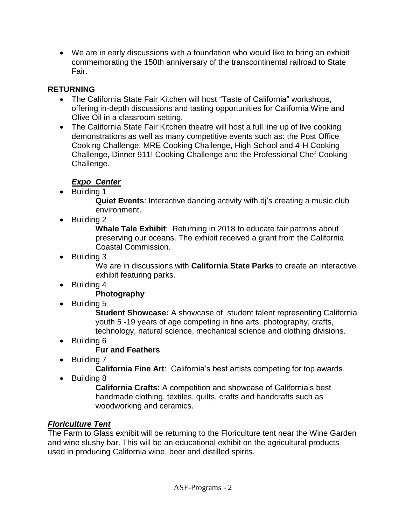We are in early discussions with a foundation who would like to bring an exhibit commemorating the 150th anniversary of the transcontinental railroad to State Fair.

# **RETURNING**

- The California State Fair Kitchen will host "Taste of California" workshops, offering in-depth discussions and tasting opportunities for California Wine and Olive Oil in a classroom setting.
- The California State Fair Kitchen theatre will host a full line up of live cooking demonstrations as well as many competitive events such as: the Post Office Cooking Challenge, MRE Cooking Challenge, High School and 4-H Cooking Challenge**,** Dinner 911! Cooking Challenge and the Professional Chef Cooking Challenge.

# *Expo Center*

• Building 1

**Quiet Events**: Interactive dancing activity with dj's creating a music club environment.

• Building 2

**Whale Tale Exhibit**: Returning in 2018 to educate fair patrons about preserving our oceans. The exhibit received a grant from the California Coastal Commission.

• Building 3

We are in discussions with **California State Parks** to create an interactive exhibit featuring parks.

• Building 4

# **Photography**

• Building 5

**Student Showcase:** A showcase of student talent representing California youth 5 -19 years of age competing in fine arts, photography, crafts, technology, natural science, mechanical science and clothing divisions.

• Building 6

# **Fur and Feathers**

• Building 7

**California Fine Art**: California's best artists competing for top awards.

• Building 8

**California Crafts:** A competition and showcase of California's best handmade clothing, textiles, quilts, crafts and handcrafts such as woodworking and ceramics.

# *Floriculture Tent*

The Farm to Glass exhibit will be returning to the Floriculture tent near the Wine Garden and wine slushy bar. This will be an educational exhibit on the agricultural products used in producing California wine, beer and distilled spirits.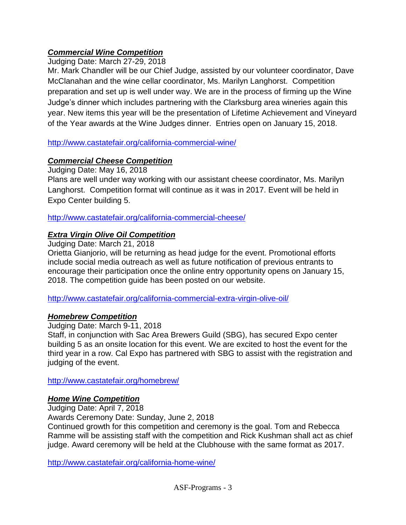# *Commercial Wine Competition*

Judging Date: March 27-29, 2018

Mr. Mark Chandler will be our Chief Judge, assisted by our volunteer coordinator, Dave McClanahan and the wine cellar coordinator, Ms. Marilyn Langhorst. Competition preparation and set up is well under way. We are in the process of firming up the Wine Judge's dinner which includes partnering with the Clarksburg area wineries again this year. New items this year will be the presentation of Lifetime Achievement and Vineyard of the Year awards at the Wine Judges dinner. Entries open on January 15, 2018.

<http://www.castatefair.org/california-commercial-wine/>

# *Commercial Cheese Competition*

Judging Date: May 16, 2018

Plans are well under way working with our assistant cheese coordinator, Ms. Marilyn Langhorst. Competition format will continue as it was in 2017. Event will be held in Expo Center building 5.

<http://www.castatefair.org/california-commercial-cheese/>

# *Extra Virgin Olive Oil Competition*

Judging Date: March 21, 2018

Orietta Gianjorio, will be returning as head judge for the event. Promotional efforts include social media outreach as well as future notification of previous entrants to encourage their participation once the online entry opportunity opens on January 15, 2018. The competition guide has been posted on our website.

<http://www.castatefair.org/california-commercial-extra-virgin-olive-oil/>

# *Homebrew Competition*

Judging Date: March 9-11, 2018

Staff, in conjunction with Sac Area Brewers Guild (SBG), has secured Expo center building 5 as an onsite location for this event. We are excited to host the event for the third year in a row. Cal Expo has partnered with SBG to assist with the registration and judging of the event.

<http://www.castatefair.org/homebrew/>

# *Home Wine Competition*

Judging Date: April 7, 2018

Awards Ceremony Date: Sunday, June 2, 2018

Continued growth for this competition and ceremony is the goal. Tom and Rebecca Ramme will be assisting staff with the competition and Rick Kushman shall act as chief judge. Award ceremony will be held at the Clubhouse with the same format as 2017.

<http://www.castatefair.org/california-home-wine/>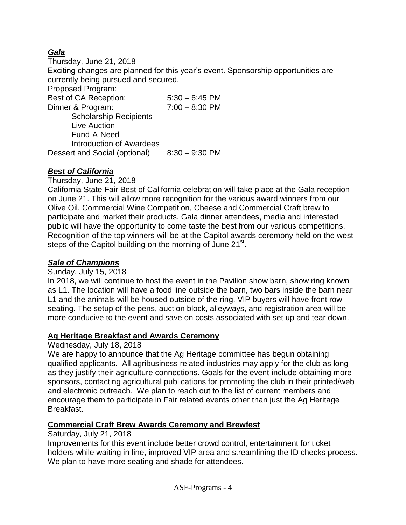# *Gala*

Thursday, June 21, 2018 Exciting changes are planned for this year's event. Sponsorship opportunities are currently being pursued and secured. Proposed Program: Best of CA Reception: 5:30 – 6:45 PM Dinner & Program: 7:00 – 8:30 PM Scholarship Recipients Live Auction Fund-A-Need Introduction of Awardees Dessert and Social (optional) 8:30 – 9:30 PM

# *Best of California*

Thursday, June 21, 2018

California State Fair Best of California celebration will take place at the Gala reception on June 21. This will allow more recognition for the various award winners from our Olive Oil, Commercial Wine Competition, Cheese and Commercial Craft brew to participate and market their products. Gala dinner attendees, media and interested public will have the opportunity to come taste the best from our various competitions. Recognition of the top winners will be at the Capitol awards ceremony held on the west steps of the Capitol building on the morning of June 21<sup>st</sup>.

# *Sale of Champions*

### Sunday, July 15, 2018

In 2018, we will continue to host the event in the Pavilion show barn, show ring known as L1. The location will have a food line outside the barn, two bars inside the barn near L1 and the animals will be housed outside of the ring. VIP buyers will have front row seating. The setup of the pens, auction block, alleyways, and registration area will be more conducive to the event and save on costs associated with set up and tear down.

# **Ag Heritage Breakfast and Awards Ceremony**

### Wednesday, July 18, 2018

We are happy to announce that the Ag Heritage committee has begun obtaining qualified applicants. All agribusiness related industries may apply for the club as long as they justify their agriculture connections. Goals for the event include obtaining more sponsors, contacting agricultural publications for promoting the club in their printed/web and electronic outreach. We plan to reach out to the list of current members and encourage them to participate in Fair related events other than just the Ag Heritage Breakfast.

# **Commercial Craft Brew Awards Ceremony and Brewfest**

### Saturday, July 21, 2018

Improvements for this event include better crowd control, entertainment for ticket holders while waiting in line, improved VIP area and streamlining the ID checks process. We plan to have more seating and shade for attendees.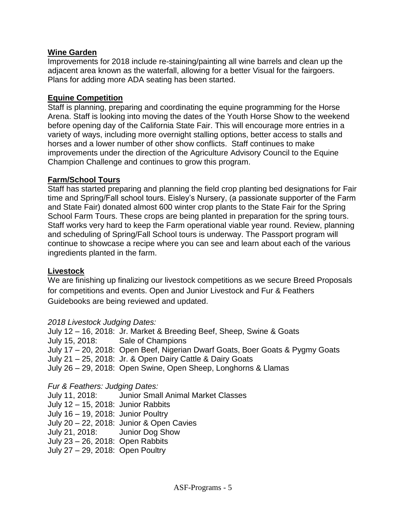### **Wine Garden**

Improvements for 2018 include re-staining/painting all wine barrels and clean up the adjacent area known as the waterfall, allowing for a better Visual for the fairgoers. Plans for adding more ADA seating has been started.

### **Equine Competition**

Staff is planning, preparing and coordinating the equine programming for the Horse Arena. Staff is looking into moving the dates of the Youth Horse Show to the weekend before opening day of the California State Fair. This will encourage more entries in a variety of ways, including more overnight stalling options, better access to stalls and horses and a lower number of other show conflicts. Staff continues to make improvements under the direction of the Agriculture Advisory Council to the Equine Champion Challenge and continues to grow this program.

### **Farm/School Tours**

Staff has started preparing and planning the field crop planting bed designations for Fair time and Spring/Fall school tours. Eisley's Nursery, (a passionate supporter of the Farm and State Fair) donated almost 600 winter crop plants to the State Fair for the Spring School Farm Tours. These crops are being planted in preparation for the spring tours. Staff works very hard to keep the Farm operational viable year round. Review, planning and scheduling of Spring/Fall School tours is underway. The Passport program will continue to showcase a recipe where you can see and learn about each of the various ingredients planted in the farm.

# **Livestock**

We are finishing up finalizing our livestock competitions as we secure Breed Proposals for competitions and events. Open and Junior Livestock and Fur & Feathers Guidebooks are being reviewed and updated.

# *2018 Livestock Judging Dates:*

July 12 – 16, 2018: Jr. Market & Breeding Beef, Sheep, Swine & Goats July 15, 2018: Sale of Champions July 17 – 20, 2018: Open Beef, Nigerian Dwarf Goats, Boer Goats & Pygmy Goats July 21 – 25, 2018: Jr. & Open Dairy Cattle & Dairy Goats July 26 – 29, 2018: Open Swine, Open Sheep, Longhorns & Llamas

# *Fur & Feathers: Judging Dates:*

July 11, 2018: Junior Small Animal Market Classes July 12 – 15, 2018: Junior Rabbits July 16 – 19, 2018: Junior Poultry July 20 – 22, 2018: Junior & Open Cavies July 21, 2018: Junior Dog Show July 23 – 26, 2018: Open Rabbits July 27 – 29, 2018: Open Poultry